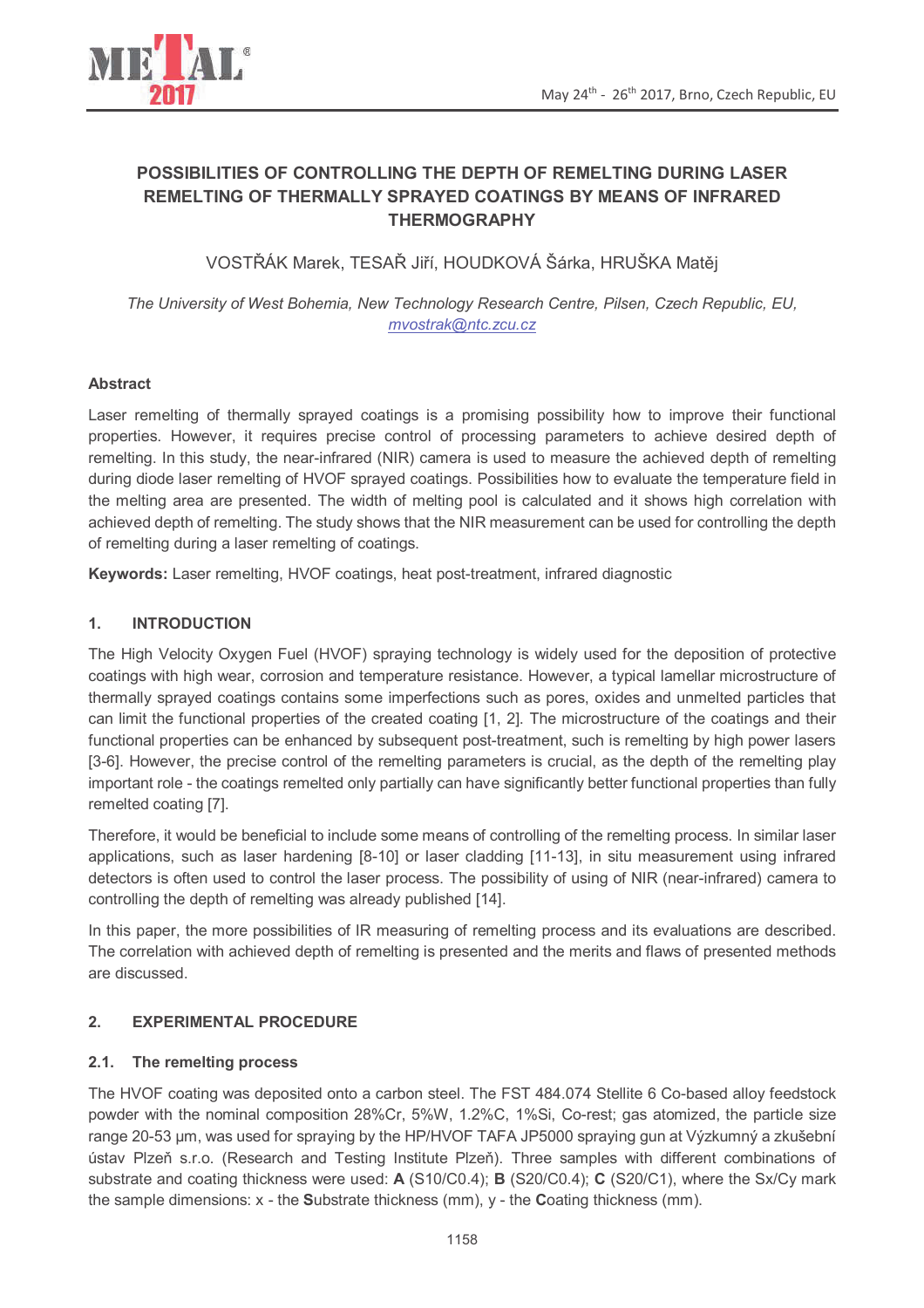

# **POSSIBILITIES OF CONTROLLING THE DEPTH OF REMELTING DURING LASER REMELTING OF THERMALLY SPRAYED COATINGS BY MEANS OF INFRARED THERMOGRAPHY**

VOSTŘÁK Marek, TESAŘ Jiří, HOUDKOVÁ Šárka, HRUŠKA Matěj

*The University of West Bohemia, New Technology Research Centre, Pilsen, Czech Republic, EU, mvostrak@ntc.zcu.cz*

### **Abstract**

Laser remelting of thermally sprayed coatings is a promising possibility how to improve their functional properties. However, it requires precise control of processing parameters to achieve desired depth of remelting. In this study, the near-infrared (NIR) camera is used to measure the achieved depth of remelting during diode laser remelting of HVOF sprayed coatings. Possibilities how to evaluate the temperature field in the melting area are presented. The width of melting pool is calculated and it shows high correlation with achieved depth of remelting. The study shows that the NIR measurement can be used for controlling the depth of remelting during a laser remelting of coatings.

**Keywords:** Laser remelting, HVOF coatings, heat post-treatment, infrared diagnostic

### **1. INTRODUCTION**

The High Velocity Oxygen Fuel (HVOF) spraying technology is widely used for the deposition of protective coatings with high wear, corrosion and temperature resistance. However, a typical lamellar microstructure of thermally sprayed coatings contains some imperfections such as pores, oxides and unmelted particles that can limit the functional properties of the created coating [1, 2]. The microstructure of the coatings and their functional properties can be enhanced by subsequent post-treatment, such is remelting by high power lasers [3-6]. However, the precise control of the remelting parameters is crucial, as the depth of the remelting play important role - the coatings remelted only partially can have significantly better functional properties than fully remelted coating [7].

Therefore, it would be beneficial to include some means of controlling of the remelting process. In similar laser applications, such as laser hardening [8-10] or laser cladding [11-13], in situ measurement using infrared detectors is often used to control the laser process. The possibility of using of NIR (near-infrared) camera to controlling the depth of remelting was already published [14].

In this paper, the more possibilities of IR measuring of remelting process and its evaluations are described. The correlation with achieved depth of remelting is presented and the merits and flaws of presented methods are discussed.

# **2. EXPERIMENTAL PROCEDURE**

#### **2.1. The remelting process**

The HVOF coating was deposited onto a carbon steel. The FST 484.074 Stellite 6 Co-based alloy feedstock powder with the nominal composition 28%Cr, 5%W, 1.2%C, 1%Si, Co-rest; gas atomized, the particle size range 20-53 µm, was used for spraying by the HP/HVOF TAFA JP5000 spraying gun at Výzkumný a zkušební ústav Plzeň s.r.o. (Research and Testing Institute Plzeň). Three samples with different combinations of substrate and coating thickness were used: **A** (S10/C0.4); **B** (S20/C0.4); **C** (S20/C1), where the Sx/Cy mark the sample dimensions: x - the **S**ubstrate thickness (mm), y - the **C**oating thickness (mm).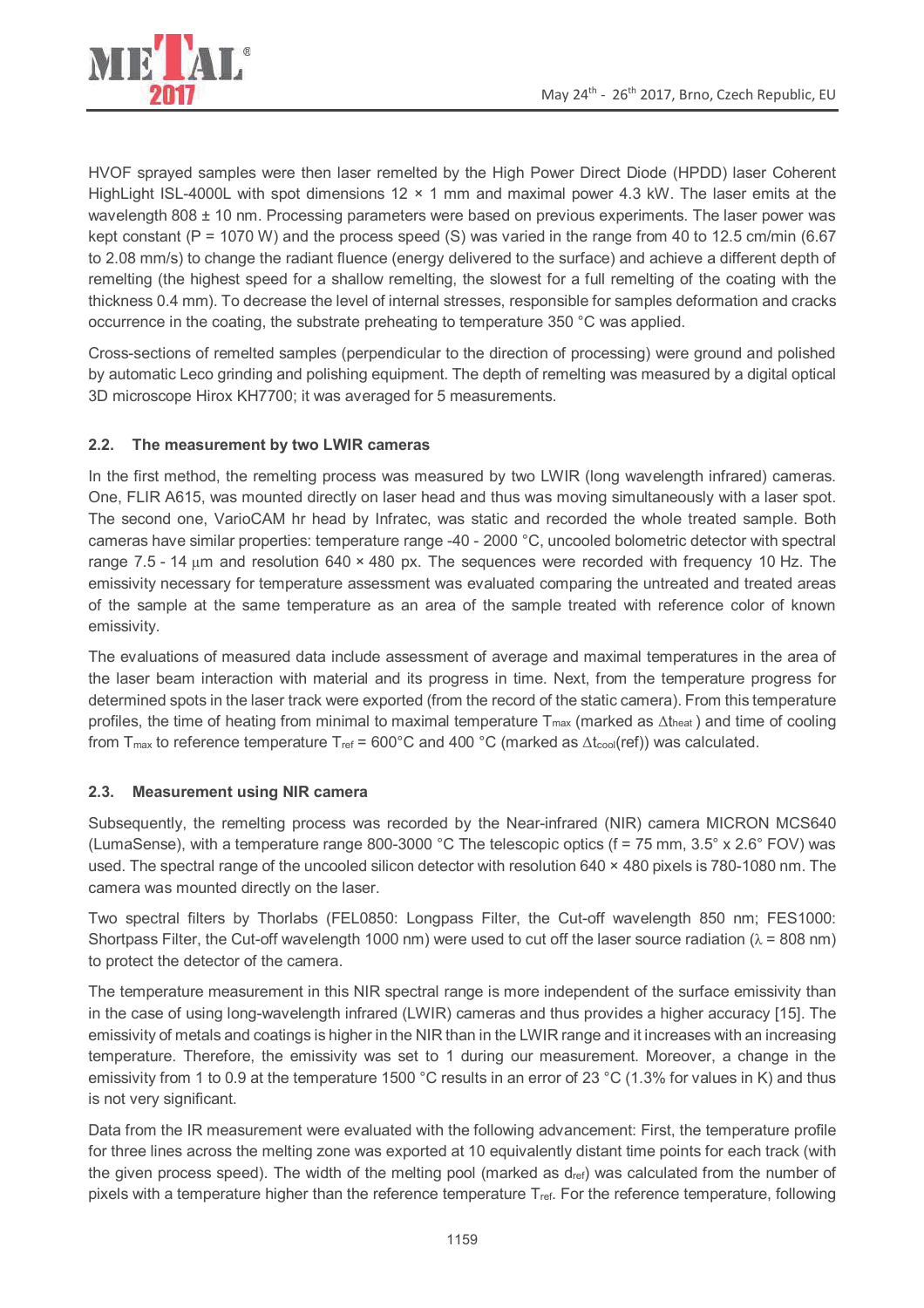

HVOF sprayed samples were then laser remelted by the High Power Direct Diode (HPDD) laser Coherent HighLight ISL-4000L with spot dimensions 12 × 1 mm and maximal power 4.3 kW. The laser emits at the wavelength 808 ± 10 nm. Processing parameters were based on previous experiments. The laser power was kept constant (P = 1070 W) and the process speed (S) was varied in the range from 40 to 12.5 cm/min (6.67 to 2.08 mm/s) to change the radiant fluence (energy delivered to the surface) and achieve a different depth of remelting (the highest speed for a shallow remelting, the slowest for a full remelting of the coating with the thickness 0.4 mm). To decrease the level of internal stresses, responsible for samples deformation and cracks occurrence in the coating, the substrate preheating to temperature 350 °C was applied.

Cross-sections of remelted samples (perpendicular to the direction of processing) were ground and polished by automatic Leco grinding and polishing equipment. The depth of remelting was measured by a digital optical 3D microscope Hirox KH7700; it was averaged for 5 measurements.

# **2.2. The measurement by two LWIR cameras**

In the first method, the remelting process was measured by two LWIR (long wavelength infrared) cameras. One, FLIR A615, was mounted directly on laser head and thus was moving simultaneously with a laser spot. The second one, VarioCAM hr head by Infratec, was static and recorded the whole treated sample. Both cameras have similar properties: temperature range -40 - 2000 °C, uncooled bolometric detector with spectral range 7.5 - 14  $\mu$ m and resolution 640 × 480 px. The sequences were recorded with frequency 10 Hz. The emissivity necessary for temperature assessment was evaluated comparing the untreated and treated areas of the sample at the same temperature as an area of the sample treated with reference color of known emissivity.

The evaluations of measured data include assessment of average and maximal temperatures in the area of the laser beam interaction with material and its progress in time. Next, from the temperature progress for determined spots in the laser track were exported (from the record of the static camera). From this temperature profiles, the time of heating from minimal to maximal temperature  $T_{max}$  (marked as  $\Delta t_{heat}$ ) and time of cooling from  $T_{\text{max}}$  to reference temperature  $T_{\text{ref}}$  = 600°C and 400 °C (marked as  $\Delta t_{\text{cool}}(\text{ref})$ ) was calculated.

# **2.3. Measurement using NIR camera**

Subsequently, the remelting process was recorded by the Near-infrared (NIR) camera MICRON MCS640 (LumaSense), with a temperature range 800-3000 °C The telescopic optics ( $f = 75$  mm,  $3.5^\circ \times 2.6^\circ$  FOV) was used. The spectral range of the uncooled silicon detector with resolution 640 × 480 pixels is 780-1080 nm. The camera was mounted directly on the laser.

Two spectral filters by Thorlabs (FEL0850: Longpass Filter, the Cut-off wavelength 850 nm; FES1000: Shortpass Filter, the Cut-off wavelength 1000 nm) were used to cut off the laser source radiation ( $\lambda$  = 808 nm) to protect the detector of the camera.

The temperature measurement in this NIR spectral range is more independent of the surface emissivity than in the case of using long-wavelength infrared (LWIR) cameras and thus provides a higher accuracy [15]. The emissivity of metals and coatings is higher in the NIR than in the LWIR range and it increases with an increasing temperature. Therefore, the emissivity was set to 1 during our measurement. Moreover, a change in the emissivity from 1 to 0.9 at the temperature 1500 °C results in an error of 23 °C (1.3% for values in K) and thus is not very significant.

Data from the IR measurement were evaluated with the following advancement: First, the temperature profile for three lines across the melting zone was exported at 10 equivalently distant time points for each track (with the given process speed). The width of the melting pool (marked as  $d_{ref}$ ) was calculated from the number of pixels with a temperature higher than the reference temperature  $T_{ref}$ . For the reference temperature, following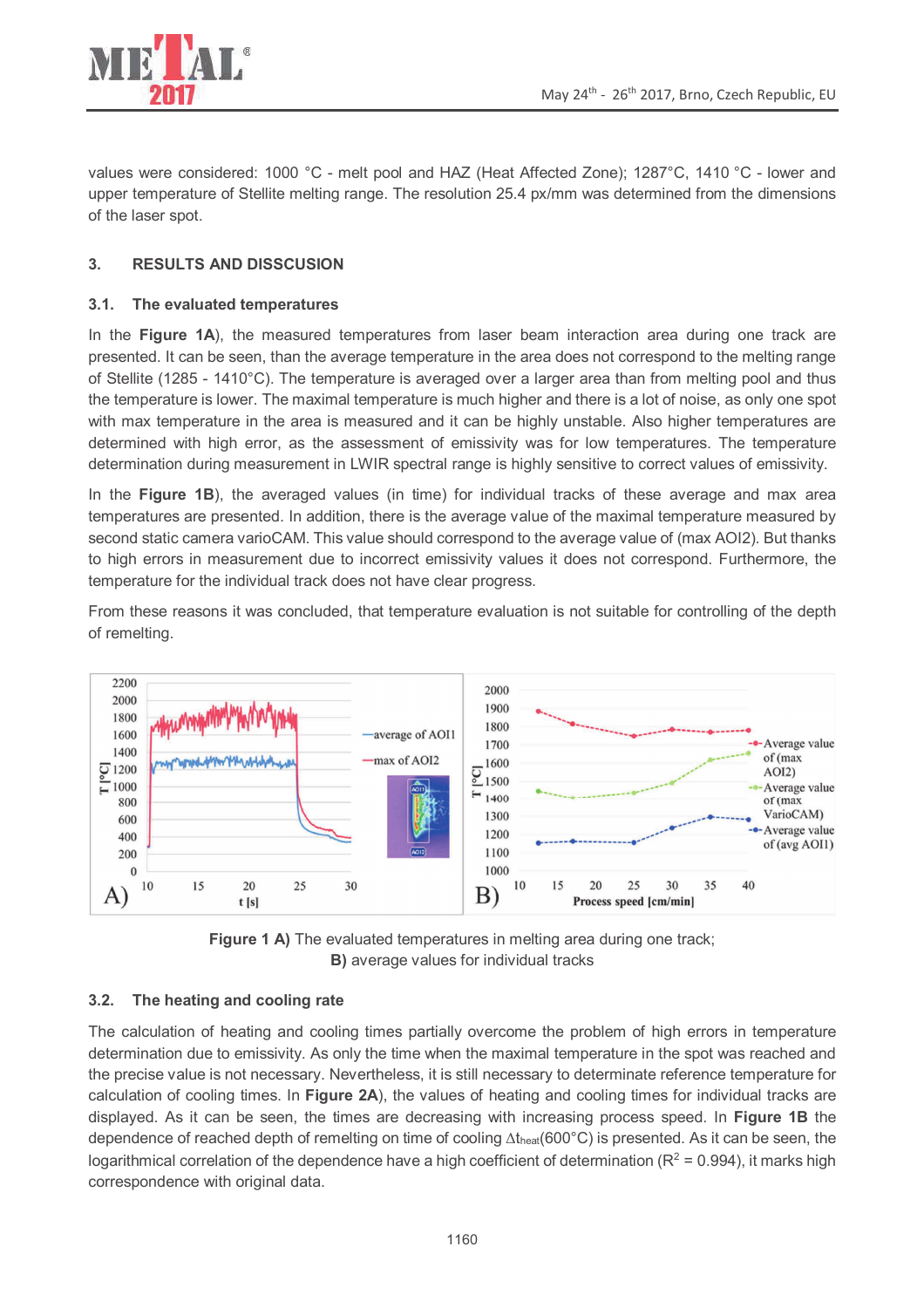

values were considered: 1000 °C - melt pool and HAZ (Heat Affected Zone); 1287°C, 1410 °C - lower and upper temperature of Stellite melting range. The resolution 25.4 px/mm was determined from the dimensions of the laser spot.

### **3. RESULTS AND DISSCUSION**

#### **3.1. The evaluated temperatures**

In the **Figure 1A**), the measured temperatures from laser beam interaction area during one track are presented. It can be seen, than the average temperature in the area does not correspond to the melting range of Stellite (1285 - 1410°C). The temperature is averaged over a larger area than from melting pool and thus the temperature is lower. The maximal temperature is much higher and there is a lot of noise, as only one spot with max temperature in the area is measured and it can be highly unstable. Also higher temperatures are determined with high error, as the assessment of emissivity was for low temperatures. The temperature determination during measurement in LWIR spectral range is highly sensitive to correct values of emissivity.

In the **Figure 1B**), the averaged values (in time) for individual tracks of these average and max area temperatures are presented. In addition, there is the average value of the maximal temperature measured by second static camera varioCAM. This value should correspond to the average value of (max AOI2). But thanks to high errors in measurement due to incorrect emissivity values it does not correspond. Furthermore, the temperature for the individual track does not have clear progress.

From these reasons it was concluded, that temperature evaluation is not suitable for controlling of the depth of remelting.





# **3.2. The heating and cooling rate**

The calculation of heating and cooling times partially overcome the problem of high errors in temperature determination due to emissivity. As only the time when the maximal temperature in the spot was reached and the precise value is not necessary. Nevertheless, it is still necessary to determinate reference temperature for calculation of cooling times. In **Figure 2A**), the values of heating and cooling times for individual tracks are displayed. As it can be seen, the times are decreasing with increasing process speed. In **Figure 1B** the dependence of reached depth of remelting on time of cooling Δtheat(600°C) is presented. As it can be seen, the logarithmical correlation of the dependence have a high coefficient of determination ( $R^2$  = 0.994), it marks high correspondence with original data.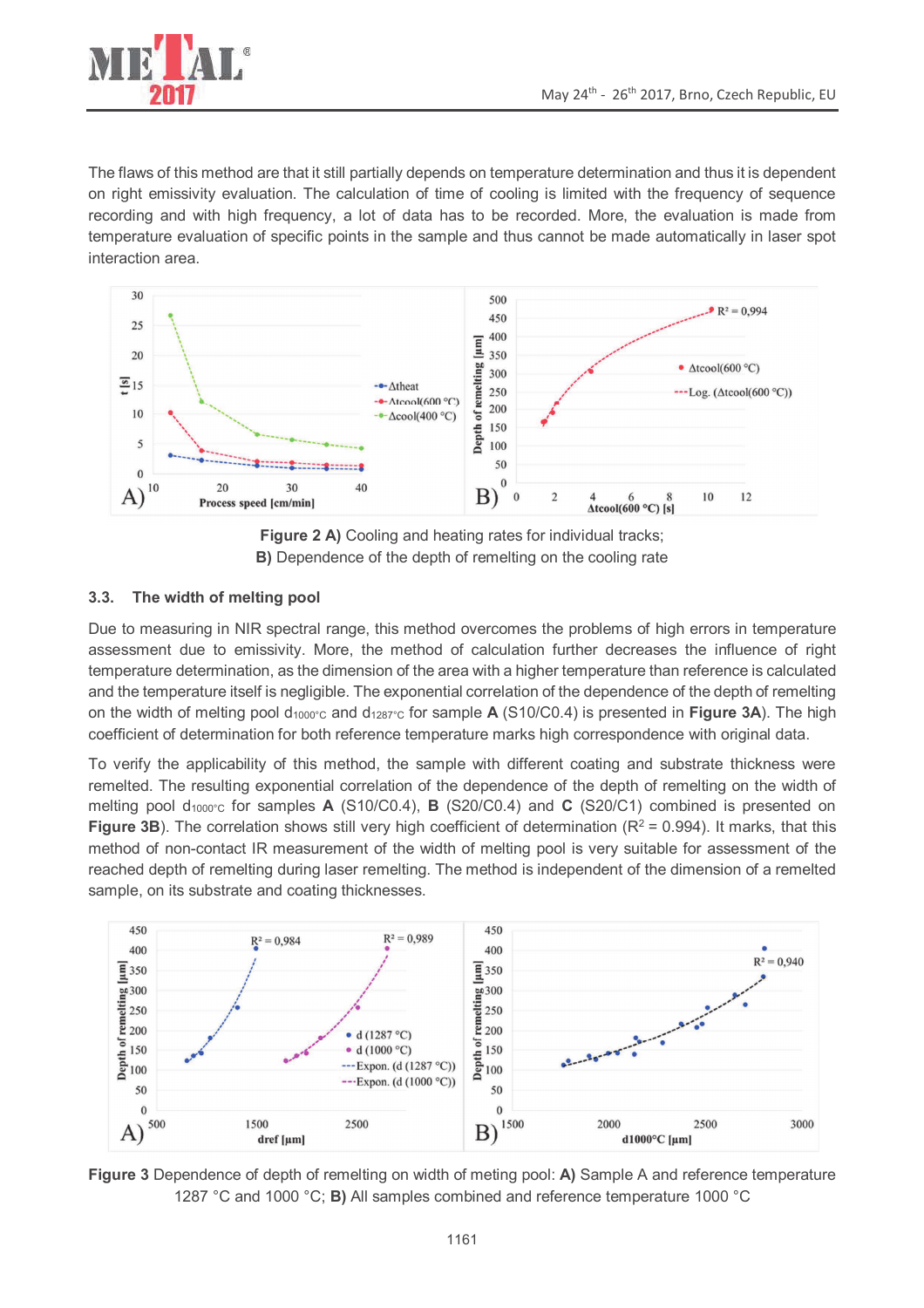

The flaws of this method are that it still partially depends on temperature determination and thus it is dependent on right emissivity evaluation. The calculation of time of cooling is limited with the frequency of sequence recording and with high frequency, a lot of data has to be recorded. More, the evaluation is made from temperature evaluation of specific points in the sample and thus cannot be made automatically in laser spot interaction area.



**Figure 2 A)** Cooling and heating rates for individual tracks; **B)** Dependence of the depth of remelting on the cooling rate

### **3.3. The width of melting pool**

Due to measuring in NIR spectral range, this method overcomes the problems of high errors in temperature assessment due to emissivity. More, the method of calculation further decreases the influence of right temperature determination, as the dimension of the area with a higher temperature than reference is calculated and the temperature itself is negligible. The exponential correlation of the dependence of the depth of remelting on the width of melting pool d1000°C and d1287°C for sample **A** (S10/C0.4) is presented in **Figure 3A**). The high coefficient of determination for both reference temperature marks high correspondence with original data.

To verify the applicability of this method, the sample with different coating and substrate thickness were remelted. The resulting exponential correlation of the dependence of the depth of remelting on the width of melting pool d1000°C for samples **A** (S10/C0.4), **B** (S20/C0.4) and **C** (S20/C1) combined is presented on **Figure 3B**). The correlation shows still very high coefficient of determination ( $R^2$  = 0.994). It marks, that this method of non-contact IR measurement of the width of melting pool is very suitable for assessment of the reached depth of remelting during laser remelting. The method is independent of the dimension of a remelted sample, on its substrate and coating thicknesses.



**Figure 3** Dependence of depth of remelting on width of meting pool: **A)** Sample A and reference temperature 1287 °C and 1000 °C; **B)** All samples combined and reference temperature 1000 °C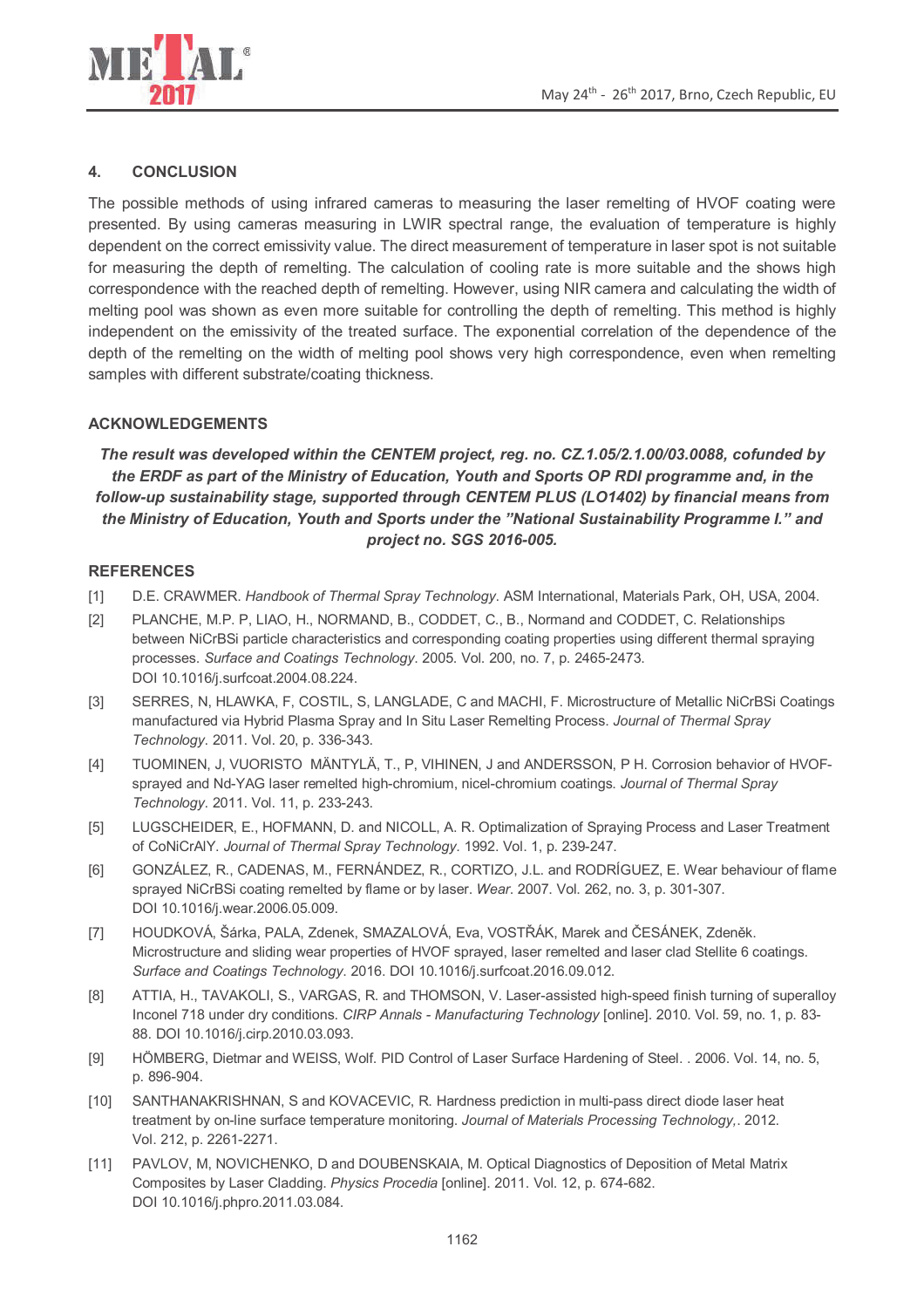

#### **4. CONCLUSION**

The possible methods of using infrared cameras to measuring the laser remelting of HVOF coating were presented. By using cameras measuring in LWIR spectral range, the evaluation of temperature is highly dependent on the correct emissivity value. The direct measurement of temperature in laser spot is not suitable for measuring the depth of remelting. The calculation of cooling rate is more suitable and the shows high correspondence with the reached depth of remelting. However, using NIR camera and calculating the width of melting pool was shown as even more suitable for controlling the depth of remelting. This method is highly independent on the emissivity of the treated surface. The exponential correlation of the dependence of the depth of the remelting on the width of melting pool shows very high correspondence, even when remelting samples with different substrate/coating thickness.

#### **ACKNOWLEDGEMENTS**

*The result was developed within the CENTEM project, reg. no. CZ.1.05/2.1.00/03.0088, cofunded by the ERDF as part of the Ministry of Education, Youth and Sports OP RDI programme and, in the follow-up sustainability stage, supported through CENTEM PLUS (LO1402) by financial means from the Ministry of Education, Youth and Sports under the "National Sustainability Programme I." and project no. SGS 2016-005.* 

#### **REFERENCES**

- [1] D.E. CRAWMER. *Handbook of Thermal Spray Technology*. ASM International, Materials Park, OH, USA, 2004.
- [2] PLANCHE, M.P. P, LIAO, H., NORMAND, B., CODDET, C., B., Normand and CODDET, C. Relationships between NiCrBSi particle characteristics and corresponding coating properties using different thermal spraying processes. *Surface and Coatings Technology*. 2005. Vol. 200, no. 7, p. 2465-2473. DOI 10.1016/j.surfcoat.2004.08.224.
- [3] SERRES, N, HLAWKA, F, COSTIL, S, LANGLADE, C and MACHI, F. Microstructure of Metallic NiCrBSi Coatings manufactured via Hybrid Plasma Spray and In Situ Laser Remelting Process. *Journal of Thermal Spray Technology*. 2011. Vol. 20, p. 336-343.
- [4] TUOMINEN, J, VUORISTO MÄNTYLÄ, T., P, VIHINEN, J and ANDERSSON, P H. Corrosion behavior of HVOFsprayed and Nd-YAG laser remelted high-chromium, nicel-chromium coatings. *Journal of Thermal Spray Technology*. 2011. Vol. 11, p. 233-243.
- [5] LUGSCHEIDER, E., HOFMANN, D. and NICOLL, A. R. Optimalization of Spraying Process and Laser Treatment of CoNiCrAlY. *Journal of Thermal Spray Technology*. 1992. Vol. 1, p. 239-247.
- [6] GONZÁLEZ, R., CADENAS, M., FERNÁNDEZ, R., CORTIZO, J.L. and RODRÍGUEZ, E. Wear behaviour of flame sprayed NiCrBSi coating remelted by flame or by laser. *Wear*. 2007. Vol. 262, no. 3, p. 301-307. DOI 10.1016/j.wear.2006.05.009.
- [7] HOUDKOVÁ, Šárka, PALA, Zdenek, SMAZALOVÁ, Eva, VOSTŘÁK, Marek and ČESÁNEK, Zdeněk. Microstructure and sliding wear properties of HVOF sprayed, laser remelted and laser clad Stellite 6 coatings. *Surface and Coatings Technology*. 2016. DOI 10.1016/j.surfcoat.2016.09.012.
- [8] ATTIA, H., TAVAKOLI, S., VARGAS, R. and THOMSON, V. Laser-assisted high-speed finish turning of superalloy Inconel 718 under dry conditions. *CIRP Annals - Manufacturing Technology* [online]. 2010. Vol. 59, no. 1, p. 83- 88. DOI 10.1016/j.cirp.2010.03.093.
- [9] HÖMBERG, Dietmar and WEISS, Wolf. PID Control of Laser Surface Hardening of Steel. . 2006. Vol. 14, no. 5, p. 896-904.
- [10] SANTHANAKRISHNAN, S and KOVACEVIC, R. Hardness prediction in multi-pass direct diode laser heat treatment by on-line surface temperature monitoring. *Journal of Materials Processing Technology,*. 2012. Vol. 212, p. 2261-2271.
- [11] PAVLOV, M, NOVICHENKO, D and DOUBENSKAIA, M. Optical Diagnostics of Deposition of Metal Matrix Composites by Laser Cladding. *Physics Procedia* [online]. 2011. Vol. 12, p. 674-682. DOI 10.1016/j.phpro.2011.03.084.